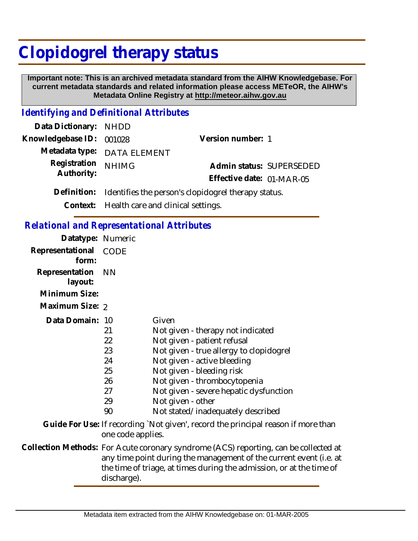# **Clopidogrel therapy status**

 **Important note: This is an archived metadata standard from the AIHW Knowledgebase. For current metadata standards and related information please access METeOR, the AIHW's Metadata Online Registry at http://meteor.aihw.gov.au**

#### *Identifying and Definitional Attributes*

| Data Dictionary: NHDD    |                                                                 |                           |  |
|--------------------------|-----------------------------------------------------------------|---------------------------|--|
| Knowledgebase ID: 001028 |                                                                 | Version number: 1         |  |
|                          | Metadata type: DATA ELEMENT                                     |                           |  |
| Registration             | <b>NHIMG</b>                                                    | Admin status: SUPERSEDED  |  |
| Authority:               |                                                                 | Effective date: 01-MAR-05 |  |
|                          | Definition: Identifies the person's clopidogrel therapy status. |                           |  |
|                          |                                                                 |                           |  |

**Context:** Health care and clinical settings.

#### *Relational and Representational Attributes*

discharge).

| Datatype: Numeric         |                                                                                                                                                                                                                                    |                                                                                                                                                                                                                                                                                                                      |
|---------------------------|------------------------------------------------------------------------------------------------------------------------------------------------------------------------------------------------------------------------------------|----------------------------------------------------------------------------------------------------------------------------------------------------------------------------------------------------------------------------------------------------------------------------------------------------------------------|
| Representational<br>form: | CODE                                                                                                                                                                                                                               |                                                                                                                                                                                                                                                                                                                      |
| Representation<br>layout: | <b>NN</b>                                                                                                                                                                                                                          |                                                                                                                                                                                                                                                                                                                      |
| Minimum Size:             |                                                                                                                                                                                                                                    |                                                                                                                                                                                                                                                                                                                      |
| Maximum Size: 2           |                                                                                                                                                                                                                                    |                                                                                                                                                                                                                                                                                                                      |
| Data Domain: 10           | 21<br>22<br>23<br>24<br>25<br>26<br>27<br>29<br>90                                                                                                                                                                                 | Given<br>Not given - therapy not indicated<br>Not given - patient refusal<br>Not given - true allergy to clopidogrel<br>Not given - active bleeding<br>Not given - bleeding risk<br>Not given - thrombocytopenia<br>Not given - severe hepatic dysfunction<br>Not given - other<br>Not stated/inadequately described |
|                           | one code applies.                                                                                                                                                                                                                  | Guide For Use: If recording `Not given', record the principal reason if more than                                                                                                                                                                                                                                    |
|                           | Collection Methods: For Acute coronary syndrome (ACS) reporting, can be collected at<br>any time point during the management of the current event (i.e. at<br>the time of triage, at times during the admission, or at the time of |                                                                                                                                                                                                                                                                                                                      |